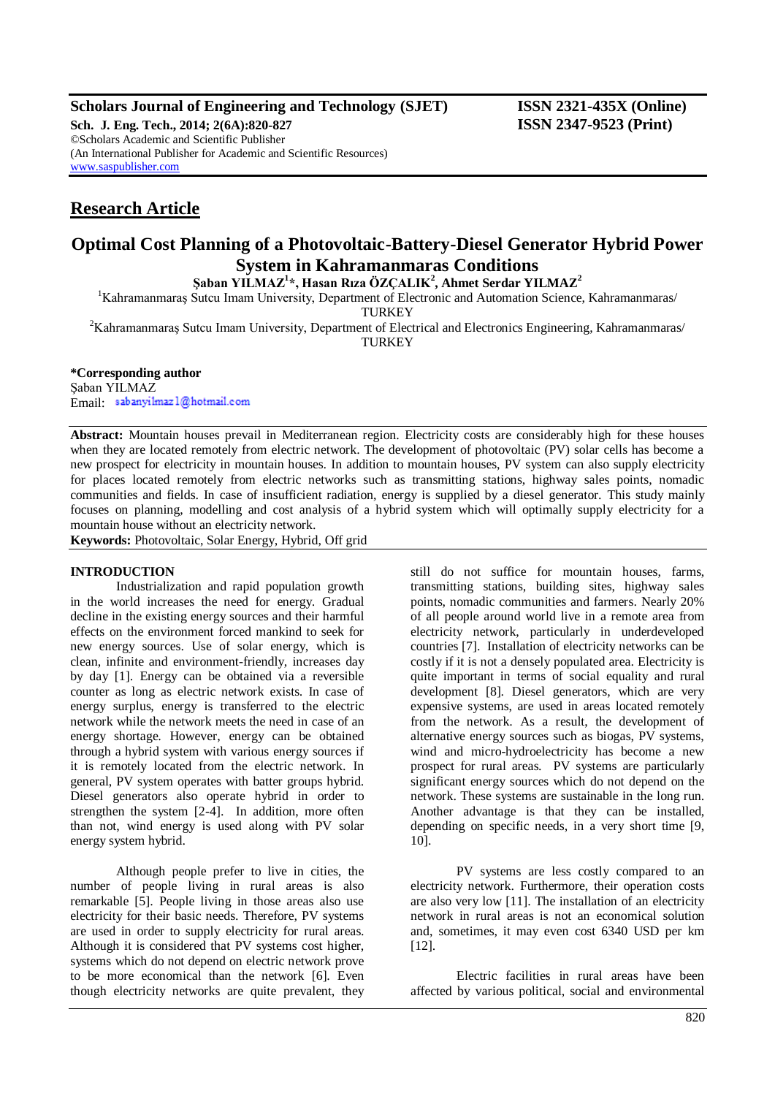## **Scholars Journal of Engineering and Technology (SJET) ISSN 2321-435X (Online)**

**Sch. J. Eng. Tech., 2014; 2(6A):820-827 ISSN 2347-9523 (Print)** ©Scholars Academic and Scientific Publisher (An International Publisher for Academic and Scientific Resources) [www.saspublisher.com](http://www.saspublisher.com/)

# **Research Article**

## **Optimal Cost Planning of a Photovoltaic-Battery-Diesel Generator Hybrid Power System in Kahramanmaras Conditions**

**Şaban YILMAZ<sup>1</sup> \*, Hasan Rıza ÖZÇALIK<sup>2</sup> , Ahmet Serdar YILMAZ<sup>2</sup>**

<sup>1</sup>Kahramanmaraş Sutcu Imam University, Department of Electronic and Automation Science, Kahramanmaras/

**TURKEY** 

<sup>2</sup>Kahramanmaraş Sutcu Imam University, Department of Electrical and Electronics Engineering, Kahramanmaras/ **TURKEY** 

## **\*Corresponding author**

Şaban YILMAZ Email sabanyilmazl@hotmail.com

**Abstract:** Mountain houses prevail in Mediterranean region. Electricity costs are considerably high for these houses when they are located remotely from electric network. The development of photovoltaic (PV) solar cells has become a new prospect for electricity in mountain houses. In addition to mountain houses, PV system can also supply electricity for places located remotely from electric networks such as transmitting stations, highway sales points, nomadic communities and fields. In case of insufficient radiation, energy is supplied by a diesel generator. This study mainly focuses on planning, modelling and cost analysis of a hybrid system which will optimally supply electricity for a mountain house without an electricity network.

**Keywords:** Photovoltaic, Solar Energy, Hybrid, Off grid

## **INTRODUCTION**

Industrialization and rapid population growth in the world increases the need for energy. Gradual decline in the existing energy sources and their harmful effects on the environment forced mankind to seek for new energy sources. Use of solar energy, which is clean, infinite and environment-friendly, increases day by day [1]. Energy can be obtained via a reversible counter as long as electric network exists. In case of energy surplus, energy is transferred to the electric network while the network meets the need in case of an energy shortage. However, energy can be obtained through a hybrid system with various energy sources if it is remotely located from the electric network. In general, PV system operates with batter groups hybrid. Diesel generators also operate hybrid in order to strengthen the system [2-4]. In addition, more often than not, wind energy is used along with PV solar energy system hybrid.

Although people prefer to live in cities, the number of people living in rural areas is also remarkable [5]. People living in those areas also use electricity for their basic needs. Therefore, PV systems are used in order to supply electricity for rural areas. Although it is considered that PV systems cost higher, systems which do not depend on electric network prove to be more economical than the network [6]. Even though electricity networks are quite prevalent, they

still do not suffice for mountain houses, farms, transmitting stations, building sites, highway sales points, nomadic communities and farmers. Nearly 20% of all people around world live in a remote area from electricity network, particularly in underdeveloped countries [7]. Installation of electricity networks can be costly if it is not a densely populated area. Electricity is quite important in terms of social equality and rural development [8]. Diesel generators, which are very expensive systems, are used in areas located remotely from the network. As a result, the development of alternative energy sources such as biogas, PV systems, wind and micro-hydroelectricity has become a new prospect for rural areas. PV systems are particularly significant energy sources which do not depend on the network. These systems are sustainable in the long run. Another advantage is that they can be installed, depending on specific needs, in a very short time [9, 10].

PV systems are less costly compared to an electricity network. Furthermore, their operation costs are also very low [11]. The installation of an electricity network in rural areas is not an economical solution and, sometimes, it may even cost 6340 USD per km [12].

Electric facilities in rural areas have been affected by various political, social and environmental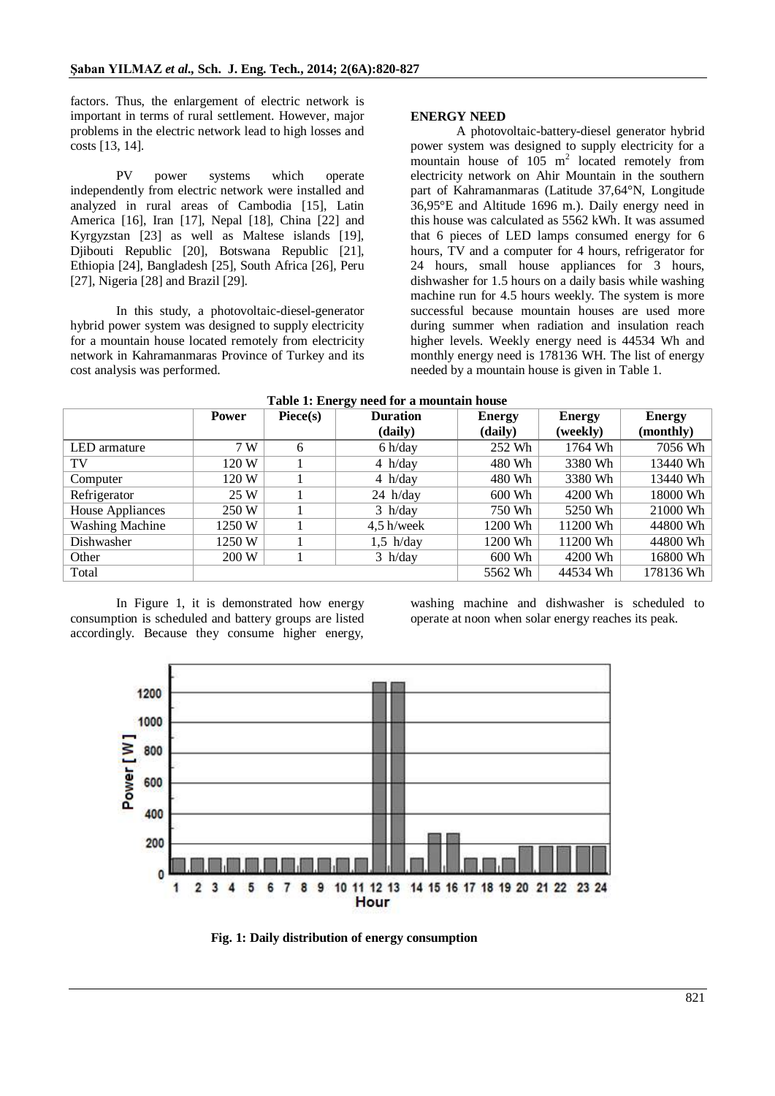factors. Thus, the enlargement of electric network is important in terms of rural settlement. However, major problems in the electric network lead to high losses and costs [13, 14].

PV power systems which operate independently from electric network were installed and analyzed in rural areas of Cambodia [15], Latin America [16], Iran [17], Nepal [18], China [22] and Kyrgyzstan [23] as well as Maltese islands [19], Djibouti Republic [20], Botswana Republic [21], Ethiopia [24], Bangladesh [25], South Africa [26], Peru [27], Nigeria [28] and Brazil [29].

In this study, a photovoltaic-diesel-generator hybrid power system was designed to supply electricity for a mountain house located remotely from electricity network in Kahramanmaras Province of Turkey and its cost analysis was performed.

## **ENERGY NEED**

A photovoltaic-battery-diesel generator hybrid power system was designed to supply electricity for a mountain house of 105 m<sup>2</sup> located remotely from electricity network on Ahir Mountain in the southern part of Kahramanmaras (Latitude 37,64°N, Longitude 36,95°E and Altitude 1696 m.). Daily energy need in this house was calculated as 5562 kWh. It was assumed that 6 pieces of LED lamps consumed energy for 6 hours, TV and a computer for 4 hours, refrigerator for 24 hours, small house appliances for 3 hours, dishwasher for 1.5 hours on a daily basis while washing machine run for 4.5 hours weekly. The system is more successful because mountain houses are used more during summer when radiation and insulation reach higher levels. Weekly energy need is 44534 Wh and monthly energy need is 178136 WH. The list of energy needed by a mountain house is given in Table 1.

| Table 1: Energy need for a mountain nouse |              |                   |                 |               |               |               |  |  |  |  |
|-------------------------------------------|--------------|-------------------|-----------------|---------------|---------------|---------------|--|--|--|--|
|                                           | <b>Power</b> | $\text{Piece}(s)$ | <b>Duration</b> | <b>Energy</b> | <b>Energy</b> | <b>Energy</b> |  |  |  |  |
|                                           |              |                   | (daily)         | (daily)       | (weekly)      | (monthly)     |  |  |  |  |
| LED armature                              | 7 W          | 6                 | 6 h/day         | 252 Wh        | 1764 Wh       | 7056 Wh       |  |  |  |  |
| TV                                        | 120 W        |                   | 4 h/day         | 480 Wh        | 3380 Wh       | 13440 Wh      |  |  |  |  |
| Computer                                  | 120 W        |                   | 4 h/day         | 480 Wh        | 3380 Wh       | 13440 Wh      |  |  |  |  |
| Refrigerator                              | 25 W         |                   | $24$ h/day      | 600 Wh        | 4200 Wh       | 18000 Wh      |  |  |  |  |
| <b>House Appliances</b>                   | 250 W        |                   | $3$ h/day       | 750 Wh        | 5250 Wh       | 21000 Wh      |  |  |  |  |
| <b>Washing Machine</b>                    | 1250 W       |                   | $4,5$ h/week    | 1200 Wh       | 11200 Wh      | 44800 Wh      |  |  |  |  |
| Dishwasher                                | 1250 W       |                   | $1,5$ h/day     | 1200 Wh       | 11200 Wh      | 44800 Wh      |  |  |  |  |
| Other                                     | 200 W        |                   | $3$ h/day       | 600 Wh        | 4200 Wh       | 16800 Wh      |  |  |  |  |
| Total                                     |              |                   |                 | 5562 Wh       | 44534 Wh      | 178136 Wh     |  |  |  |  |
|                                           |              |                   |                 |               |               |               |  |  |  |  |

## **Table 1: Energy need for a mountain house**

In Figure 1, it is demonstrated how energy consumption is scheduled and battery groups are listed accordingly. Because they consume higher energy,

washing machine and dishwasher is scheduled to operate at noon when solar energy reaches its peak.



**Fig. 1: Daily distribution of energy consumption**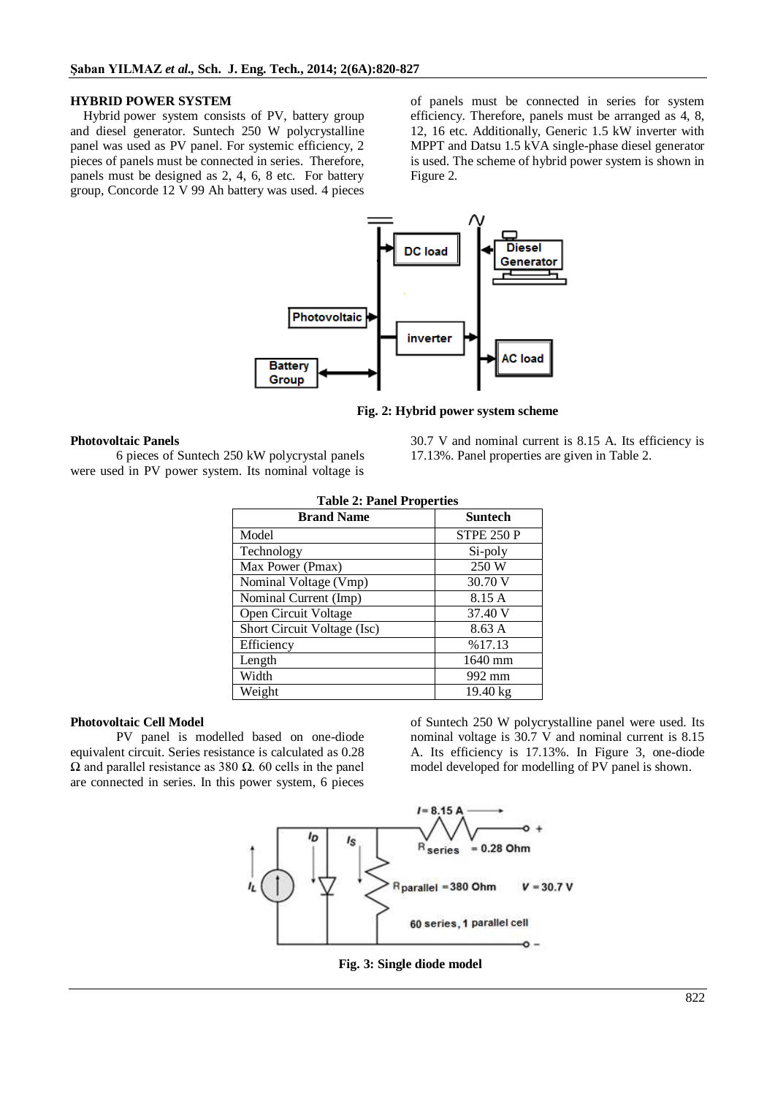## **HYBRID POWER SYSTEM**

Hybrid power system consists of PV, battery group and diesel generator. Suntech 250 W polycrystalline panel was used as PV panel. For systemic efficiency, 2 pieces of panels must be connected in series. Therefore, panels must be designed as 2, 4, 6, 8 etc. For battery group, Concorde 12 V 99 Ah battery was used. 4 pieces

of panels must be connected in series for system efficiency. Therefore, panels must be arranged as 4, 8, 12, 16 etc. Additionally, Generic 1.5 kW inverter with MPPT and Datsu 1.5 kVA single-phase diesel generator is used. The scheme of hybrid power system is shown in Figure 2.



**Fig. 2: Hybrid power system scheme**

#### **Photovoltaic Panels**

6 pieces of Suntech 250 kW polycrystal panels were used in PV power system. Its nominal voltage is

30.7 V and nominal current is 8.15 A. Its efficiency is 17.13%. Panel properties are given in Table 2.

| <b>Table 2: Panel Properties</b> |                    |  |  |  |  |  |
|----------------------------------|--------------------|--|--|--|--|--|
| <b>Brand Name</b>                | <b>Suntech</b>     |  |  |  |  |  |
| Model                            | <b>STPE 250 P</b>  |  |  |  |  |  |
| Technology                       | Si-poly            |  |  |  |  |  |
| Max Power (Pmax)                 | 250 W              |  |  |  |  |  |
| Nominal Voltage (Vmp)            | 30.70 V            |  |  |  |  |  |
| Nominal Current (Imp)            | 8.15 A             |  |  |  |  |  |
| Open Circuit Voltage             | 37.40 V            |  |  |  |  |  |
| Short Circuit Voltage (Isc)      | 8.63 A             |  |  |  |  |  |
| Efficiency                       | %17.13             |  |  |  |  |  |
| Length                           | 1640 mm            |  |  |  |  |  |
| Width                            | 992 mm             |  |  |  |  |  |
| Weight                           | $19.40 \text{ kg}$ |  |  |  |  |  |

#### **Photovoltaic Cell Model**

PV panel is modelled based on one-diode equivalent circuit. Series resistance is calculated as 0.28 Ω and parallel resistance as 380 Ω. 60 cells in the panel are connected in series. In this power system, 6 pieces

of Suntech 250 W polycrystalline panel were used. Its nominal voltage is 30.7 V and nominal current is 8.15 A. Its efficiency is 17.13%. In Figure 3, one-diode model developed for modelling of PV panel is shown.



**Fig. 3: Single diode model**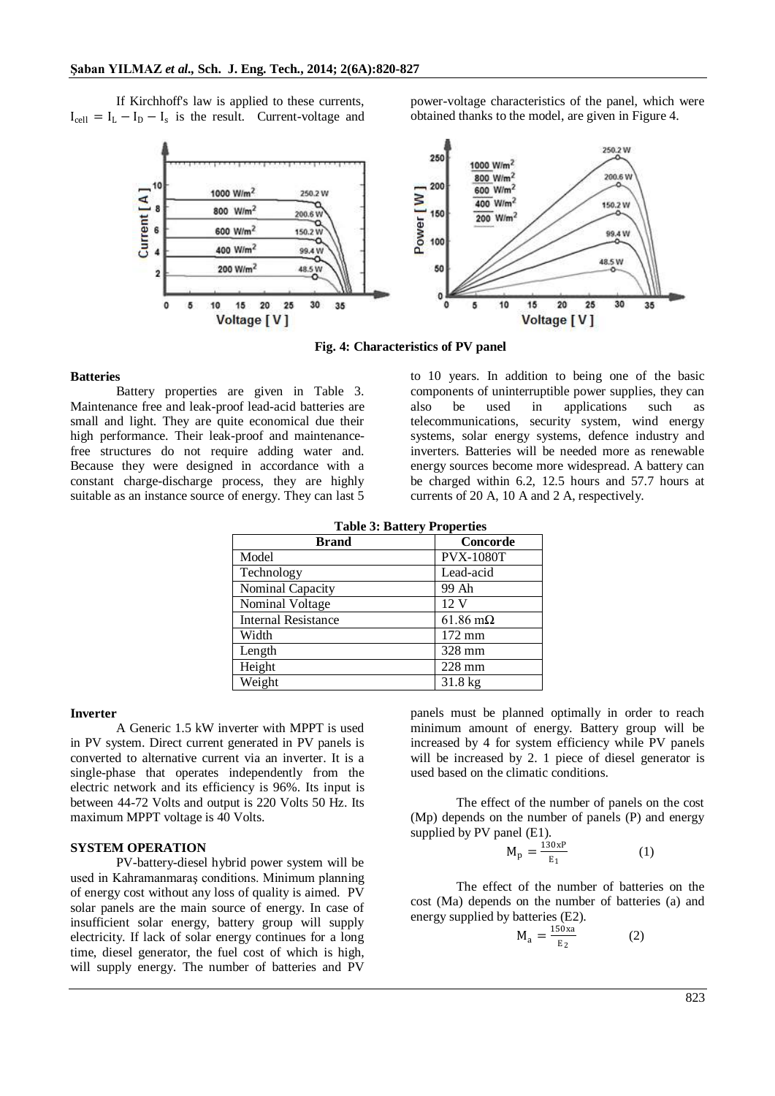If Kirchhoff's law is applied to these currents,  $I_{cell} = I_L - I_D - I_s$  is the result. Current-voltage and power-voltage characteristics of the panel, which were obtained thanks to the model, are given in Figure 4.



**Fig. 4: Characteristics of PV panel**

## **Batteries**

Battery properties are given in Table 3. Maintenance free and leak-proof lead-acid batteries are small and light. They are quite economical due their high performance. Their leak-proof and maintenancefree structures do not require adding water and. Because they were designed in accordance with a constant charge-discharge process, they are highly suitable as an instance source of energy. They can last 5

to 10 years. In addition to being one of the basic components of uninterruptible power supplies, they can also be used in applications such as telecommunications, security system, wind energy systems, solar energy systems, defence industry and inverters. Batteries will be needed more as renewable energy sources become more widespread. A battery can be charged within 6.2, 12.5 hours and 57.7 hours at currents of 20 A, 10 A and 2 A, respectively.

|  |  | <b>Table 3: Battery Properties</b> |
|--|--|------------------------------------|
|--|--|------------------------------------|

| <b>Brand</b>               | Concorde                |
|----------------------------|-------------------------|
| Model                      | <b>PVX-1080T</b>        |
| Technology                 | Lead-acid               |
| Nominal Capacity           | 99 Ah                   |
| Nominal Voltage            | 12 <sub>V</sub>         |
| <b>Internal Resistance</b> | $61.86 \text{ m}\Omega$ |
| Width                      | $172 \text{ mm}$        |
| Length                     | 328 mm                  |
| Height                     | $228$ mm                |
| Weight                     | $31.8 \text{ kg}$       |

#### **Inverter**

A Generic 1.5 kW inverter with MPPT is used in PV system. Direct current generated in PV panels is converted to alternative current via an inverter. It is a single-phase that operates independently from the electric network and its efficiency is 96%. Its input is between 44-72 Volts and output is 220 Volts 50 Hz. Its maximum MPPT voltage is 40 Volts.

## **SYSTEM OPERATION**

PV-battery-diesel hybrid power system will be used in Kahramanmaraş conditions. Minimum planning of energy cost without any loss of quality is aimed. PV solar panels are the main source of energy. In case of insufficient solar energy, battery group will supply electricity. If lack of solar energy continues for a long time, diesel generator, the fuel cost of which is high, will supply energy. The number of batteries and PV

panels must be planned optimally in order to reach minimum amount of energy. Battery group will be increased by 4 for system efficiency while PV panels will be increased by 2. 1 piece of diesel generator is used based on the climatic conditions.

The effect of the number of panels on the cost (Mp) depends on the number of panels (P) and energy supplied by PV panel (E1).

$$
M_p = \frac{130xP}{E_1}
$$
 (1)

The effect of the number of batteries on the cost (Ma) depends on the number of batteries (a) and energy supplied by batteries (E2).

$$
M_a = \frac{150xa}{E_2} \tag{2}
$$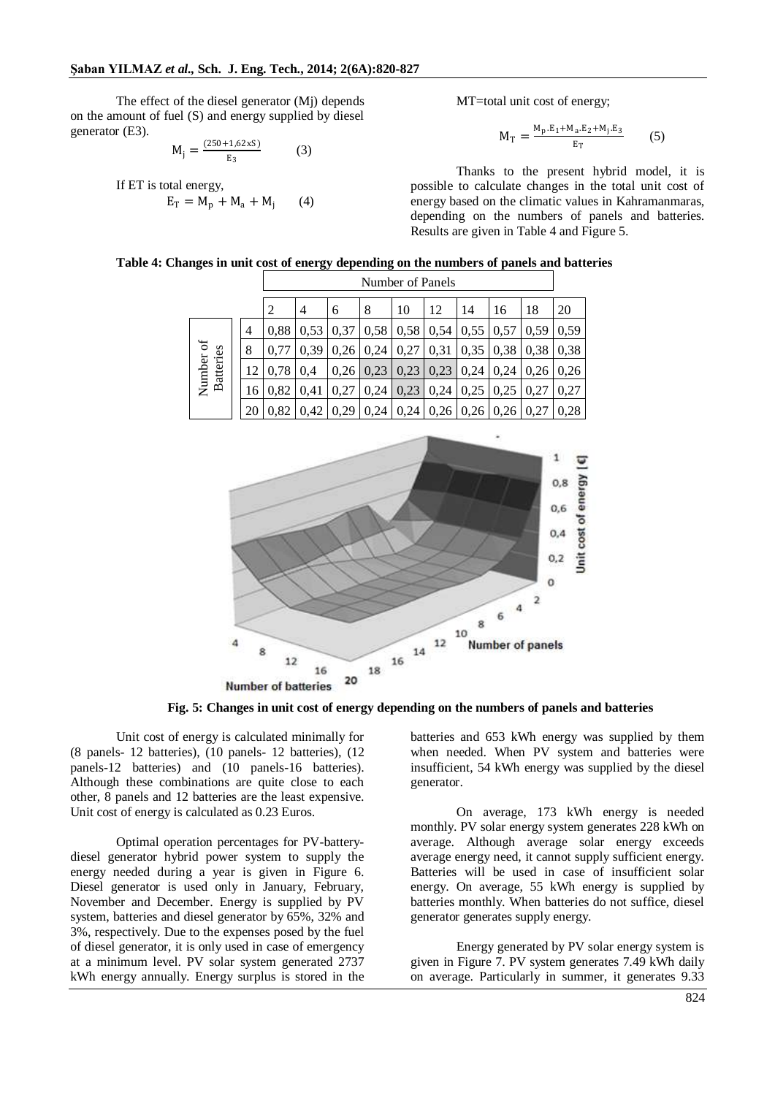The effect of the diesel generator (Mj) depends on the amount of fuel (S) and energy supplied by diesel generator (E3).

$$
M_j = \frac{(250 + 1,62xS)}{E_3}
$$
 (3)

If ET is total energy,  $E_T = M_p + M_a + M_i$  $(4)$  MT=total unit cost of energy;

$$
M_{T} = \frac{M_{p} . E_{1} + M_{a} . E_{2} + M_{j} . E_{3}}{E_{T}}
$$
 (5)

Thanks to the present hybrid model, it is possible to calculate changes in the total unit cost of energy based on the climatic values in Kahramanmaras, depending on the numbers of panels and batteries. Results are given in Table 4 and Figure 5.

|  |                               |    | Number of Panels |      |      |      |      |                                                |                  |      |      |      |
|--|-------------------------------|----|------------------|------|------|------|------|------------------------------------------------|------------------|------|------|------|
|  |                               |    | 2                | 4    | 6    | 8    | 10   | 12                                             | 14               | 16   | 18   | 20   |
|  | Number of<br><b>Batteries</b> | 4  | 0,88             | 0,53 | 0,37 |      |      | $0.58 \mid 0.58 \mid 0.54 \mid 0.55 \mid 0.57$ |                  |      | 0,59 | 0.59 |
|  |                               | 8  | 0.77             | 0,39 | 0,26 | 0,24 | 0,27 | 0,31                                           | $0,35 \mid 0,38$ |      | 0,38 | 0,38 |
|  |                               | 12 | 0.78             | 0.4  | 0,26 | 0,23 | 0,23 | 0,23                                           | 0,24             | 0.24 | 0.26 | 0.26 |
|  |                               | 16 | 0.82             | 0.41 | 0,27 | 0,24 | 0,23 | 0,24                                           | 0,25             | 0,25 | 0.27 | 0.27 |
|  |                               | 20 | 0.82             | 0,42 | 0,29 | 0,24 |      | $\vert 0.24 \vert 0.26 \vert 0.26 \vert$       |                  | 0,26 | 0,27 | 0.28 |

**Table 4: Changes in unit cost of energy depending on the numbers of panels and batteries**



**Fig. 5: Changes in unit cost of energy depending on the numbers of panels and batteries**

Unit cost of energy is calculated minimally for (8 panels- 12 batteries), (10 panels- 12 batteries), (12 panels-12 batteries) and (10 panels-16 batteries). Although these combinations are quite close to each other, 8 panels and 12 batteries are the least expensive. Unit cost of energy is calculated as 0.23 Euros.

Optimal operation percentages for PV-batterydiesel generator hybrid power system to supply the energy needed during a year is given in Figure 6. Diesel generator is used only in January, February, November and December. Energy is supplied by PV system, batteries and diesel generator by 65%, 32% and 3%, respectively. Due to the expenses posed by the fuel of diesel generator, it is only used in case of emergency at a minimum level. PV solar system generated 2737 kWh energy annually. Energy surplus is stored in the

batteries and 653 kWh energy was supplied by them when needed. When PV system and batteries were insufficient, 54 kWh energy was supplied by the diesel generator.

On average, 173 kWh energy is needed monthly. PV solar energy system generates 228 kWh on average. Although average solar energy exceeds average energy need, it cannot supply sufficient energy. Batteries will be used in case of insufficient solar energy. On average, 55 kWh energy is supplied by batteries monthly. When batteries do not suffice, diesel generator generates supply energy.

Energy generated by PV solar energy system is given in Figure 7. PV system generates 7.49 kWh daily on average. Particularly in summer, it generates 9.33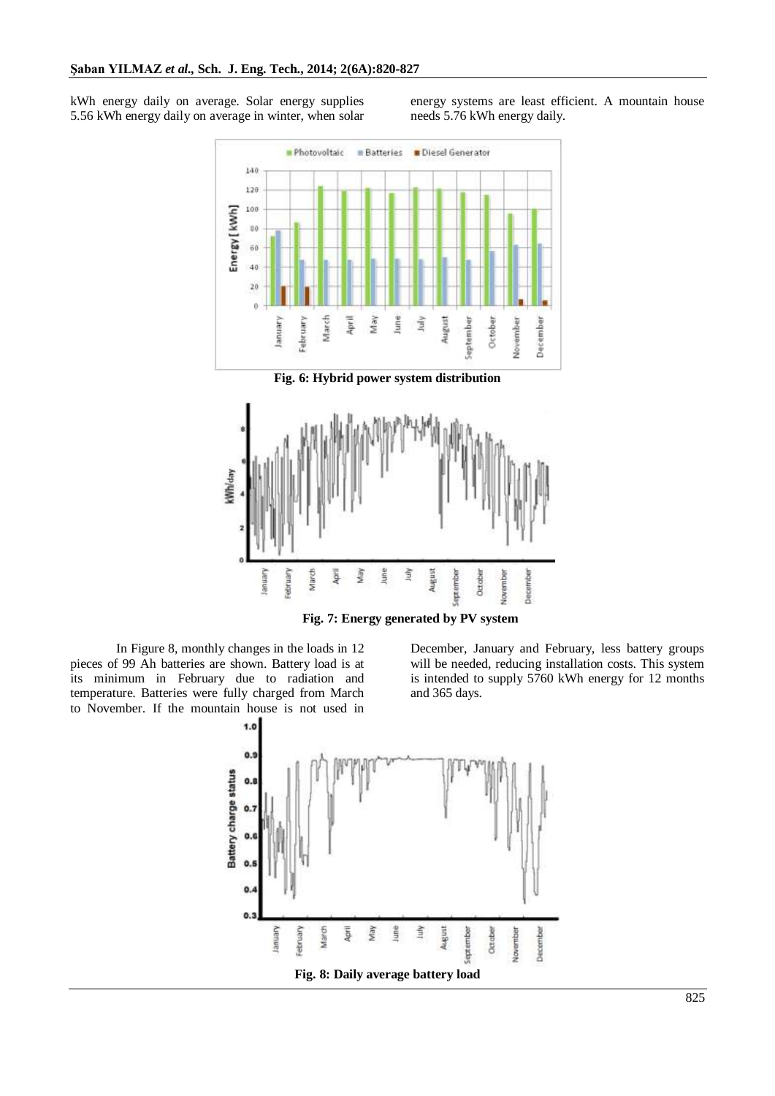kWh energy daily on average. Solar energy supplies 5.56 kWh energy daily on average in winter, when solar energy systems are least efficient. A mountain house needs 5.76 kWh energy daily.



**Fig. 7: Energy generated by PV system**

In Figure 8, monthly changes in the loads in 12 pieces of 99 Ah batteries are shown. Battery load is at its minimum in February due to radiation and temperature. Batteries were fully charged from March to November. If the mountain house is not used in

December, January and February, less battery groups will be needed, reducing installation costs. This system is intended to supply 5760 kWh energy for 12 months and 365 days.

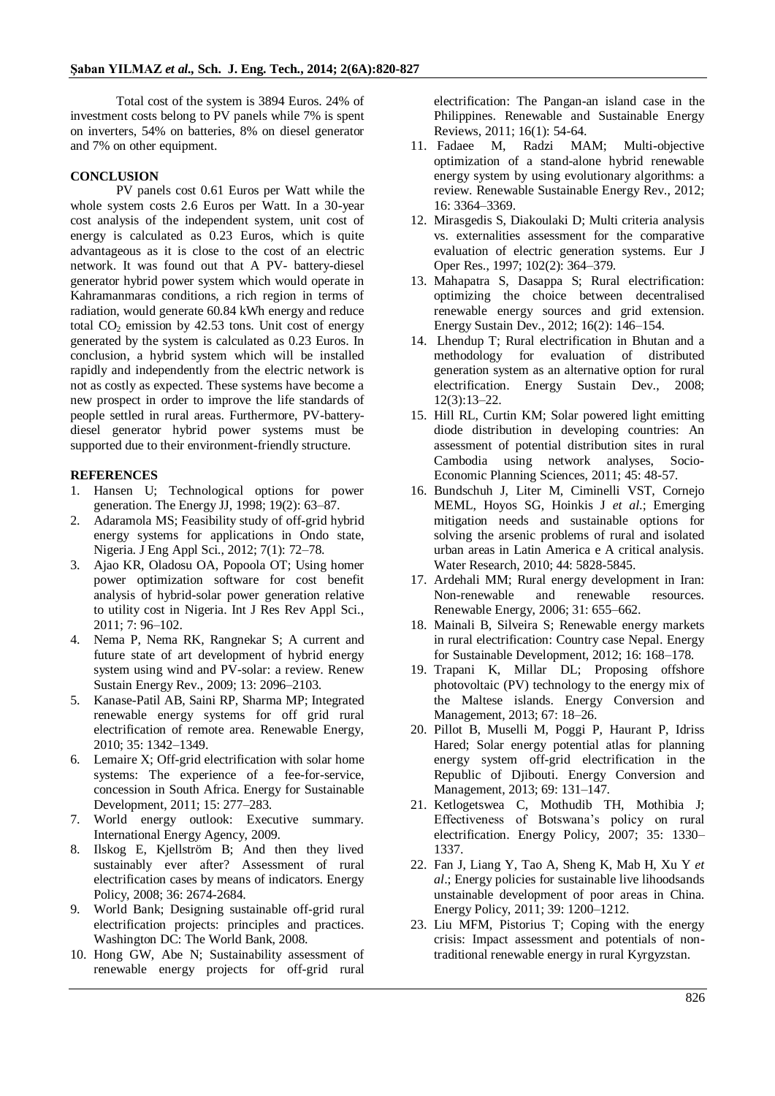Total cost of the system is 3894 Euros. 24% of investment costs belong to PV panels while 7% is spent on inverters, 54% on batteries, 8% on diesel generator and 7% on other equipment.

## **CONCLUSION**

PV panels cost 0.61 Euros per Watt while the whole system costs 2.6 Euros per Watt. In a 30-year cost analysis of the independent system, unit cost of energy is calculated as 0.23 Euros, which is quite advantageous as it is close to the cost of an electric network. It was found out that A PV- battery-diesel generator hybrid power system which would operate in Kahramanmaras conditions, a rich region in terms of radiation, would generate 60.84 kWh energy and reduce total  $CO<sub>2</sub>$  emission by 42.53 tons. Unit cost of energy generated by the system is calculated as 0.23 Euros. In conclusion, a hybrid system which will be installed rapidly and independently from the electric network is not as costly as expected. These systems have become a new prospect in order to improve the life standards of people settled in rural areas. Furthermore, PV-batterydiesel generator hybrid power systems must be supported due to their environment-friendly structure.

## **REFERENCES**

- 1. Hansen U; Technological options for power generation. The Energy JJ, 1998; 19(2): 63–87.
- 2. Adaramola MS; Feasibility study of off-grid hybrid energy systems for applications in Ondo state, Nigeria. J Eng Appl Sci., 2012; 7(1): 72–78.
- 3. Ajao KR, Oladosu OA, Popoola OT; Using homer power optimization software for cost benefit analysis of hybrid-solar power generation relative to utility cost in Nigeria. Int J Res Rev Appl Sci., 2011; 7: 96–102.
- 4. Nema P, Nema RK, Rangnekar S; A current and future state of art development of hybrid energy system using wind and PV-solar: a review. Renew Sustain Energy Rev., 2009; 13: 2096–2103.
- 5. Kanase-Patil AB, Saini RP, Sharma MP; Integrated renewable energy systems for off grid rural electrification of remote area. Renewable Energy, 2010; 35: 1342–1349.
- 6. Lemaire X; Off-grid electrification with solar home systems: The experience of a fee-for-service, concession in South Africa. Energy for Sustainable Development, 2011; 15: 277–283.
- 7. World energy outlook: Executive summary. International Energy Agency, 2009.
- 8. Ilskog E, Kjellström B; And then they lived sustainably ever after? Assessment of rural electrification cases by means of indicators. Energy Policy, 2008; 36: 2674-2684.
- 9. World Bank; Designing sustainable off-grid rural electrification projects: principles and practices. Washington DC: The World Bank, 2008.
- 10. Hong GW, Abe N; Sustainability assessment of renewable energy projects for off-grid rural

electrification: The Pangan-an island case in the Philippines. Renewable and Sustainable Energy Reviews, 2011; 16(1): 54-64.

- 11. Fadaee M, Radzi MAM; Multi-objective optimization of a stand-alone hybrid renewable energy system by using evolutionary algorithms: a review. Renewable Sustainable Energy Rev., 2012; 16: 3364–3369.
- 12. Mirasgedis S, Diakoulaki D; Multi criteria analysis vs. externalities assessment for the comparative evaluation of electric generation systems. Eur J Oper Res., 1997; 102(2): 364–379.
- 13. Mahapatra S, Dasappa S; Rural electrification: optimizing the choice between decentralised renewable energy sources and grid extension. Energy Sustain Dev., 2012; 16(2): 146–154.
- 14. Lhendup T; Rural electrification in Bhutan and a methodology for evaluation of distributed generation system as an alternative option for rural electrification. Energy Sustain Dev., 2008; 12(3):13–22.
- 15. Hill RL, Curtin KM; Solar powered light emitting diode distribution in developing countries: An assessment of potential distribution sites in rural Cambodia using network analyses, Socio-Economic Planning Sciences, 2011; 45: 48-57.
- 16. Bundschuh J, Liter M, Ciminelli VST, Cornejo MEML, Hoyos SG, Hoinkis J *et al*.; Emerging mitigation needs and sustainable options for solving the arsenic problems of rural and isolated urban areas in Latin America e A critical analysis. Water Research, 2010; 44: 5828-5845.
- 17. Ardehali MM; Rural energy development in Iran: Non-renewable and renewable resources. Renewable Energy, 2006; 31: 655–662.
- 18. Mainali B, Silveira S; Renewable energy markets in rural electrification: Country case Nepal. Energy for Sustainable Development, 2012; 16: 168–178.
- 19. Trapani K, Millar DL; Proposing offshore photovoltaic (PV) technology to the energy mix of the Maltese islands. Energy Conversion and Management, 2013; 67: 18–26.
- 20. Pillot B, Muselli M, Poggi P, Haurant P, Idriss Hared; Solar energy potential atlas for planning energy system off-grid electrification in the Republic of Djibouti. Energy Conversion and Management, 2013; 69: 131–147.
- 21. Ketlogetswea C, Mothudib TH, Mothibia J; Effectiveness of Botswana's policy on rural electrification. Energy Policy, 2007; 35: 1330– 1337.
- 22. Fan J, Liang Y, Tao A, Sheng K, Mab H, Xu Y *et al*.; Energy policies for sustainable live lihoodsands unstainable development of poor areas in China. Energy Policy, 2011; 39: 1200–1212.
- 23. Liu MFM, Pistorius T; Coping with the energy crisis: Impact assessment and potentials of nontraditional renewable energy in rural Kyrgyzstan.